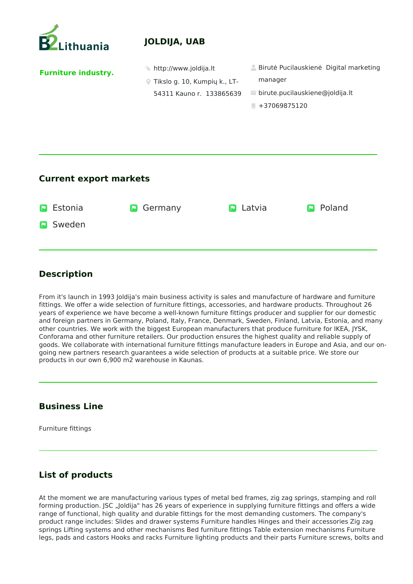

# **JOLDIJA, UAB**

**Furniture industry. http://www.joldija.lt Birutė Pucilauskienė Digital marketing** manager ■ birute.pucilauskiene@joldija.lt  $+37069875120$ Tikslo g. 10, Kumpių k., LT-54311 Kauno r. 133865639

### **Current export markets**

| <b>P</b> Estonia | <b>D</b> Germany | $\blacksquare$ Latvia | <b>P</b> Poland |
|------------------|------------------|-----------------------|-----------------|
| <b>P</b> Sweden  |                  |                       |                 |
|                  |                  |                       |                 |

## **Description**

From it's launch in 1993 Joldija's main business activity is sales and manufacture of hardware and furniture fittings. We offer a wide selection of furniture fittings, accessories, and hardware products. Throughout 26 years of experience we have become a well-known furniture fittings producer and supplier for our domestic and foreign partners in Germany, Poland, Italy, France, Denmark, Sweden, Finland, Latvia, Estonia, and many other countries. We work with the biggest European manufacturers that produce furniture for IKEA, JYSK, Conforama and other furniture retailers. Our production ensures the highest quality and reliable supply of goods. We collaborate with international furniture fittings manufacture leaders in Europe and Asia, and our ongoing new partners research guarantees a wide selection of products at a suitable price. We store our products in our own 6,900 m2 warehouse in Kaunas.

#### **Business Line**

Furniture fittings

# **List of products**

At the moment we are manufacturing various types of metal bed frames, zig zag springs, stamping and roll forming production. JSC "Joldija" has 26 years of experience in supplying furniture fittings and offers a wide range of functional, high quality and durable fittings for the most demanding customers. The company's product range includes: Slides and drawer systems Furniture handles Hinges and their accessories Zig zag springs Lifting systems and other mechanisms Bed furniture fittings Table extension mechanisms Furniture legs, pads and castors Hooks and racks Furniture lighting products and their parts Furniture screws, bolts and